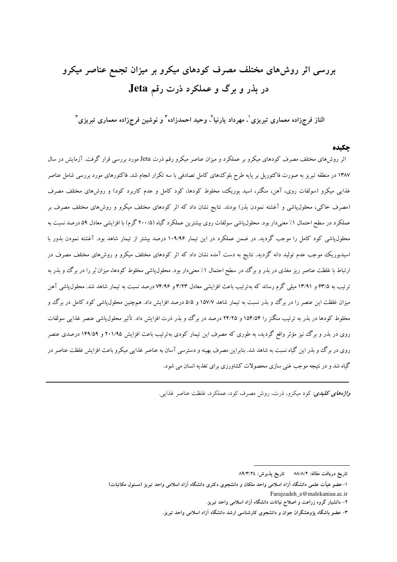# بررسی اثر روش های مختلف مصرف کودهای میکرو بر میزان تجمع عناصر میکرو در بذر و برگ و عملکرد ذرت رقم Jeta

الناز فرجزاده معماری تبریزی'، مهرداد پارنیا'، وحید احمدزاده" و نوشین فرجزاده معماری تبریزی"

#### جكىدە

اثر روشهای مختلف مصرف کودهای میکرو بر عملکرد و میزان عناصر میکرو رقم ذرت Jeta مورد بررسی قرار گرفت. آزمایش در سال ۱۳۸۷ در منطقه تبریز به صورت فاکتوریل بر پایه طرح بلوک۵های کامل تصادفی با سه تکرار انجام شد. فاکتورهای مورد بررسی شامل عناصر غذایی میکرو (سولفات روی، آهن، منگنر، اسید بوریک، مخلوط کودها، کود کامل و عدم کاربرد کود) و روش،های مختلف مصرف (مصرف خاکی، محلول،پاشی و آغشته نمودن بذر) بودند. نتایج نشان داد که اثر کودهای مختلف میکرو و روشهای مختلف مصرف بر عملکرد در سطح احتمال ۱٪ معنی دار بود. محلول یاشی سولفات روی بیشترین عملکرد گیاه (۲۰۰/۵ گرم) با افزایشی معادل ۵۹ درصد نسبت به محلول،پاشی کود کامل را موجب گردید. در ضمن عملکرد در این تیمار ۱۰۹/۹۶ درصد بیشتر از تیمار شاهد بود. آغشته نمودن بذور با اسیدبوریک موجب عدم تولید دانه گردید. نتایج به دست آمده نشان داد که اثر کودهای مختلف میکرو و روشهای مختلف مصرف در ارتباط با غلظت عناصر ریز مغذی در بذر و برگ در سطح احتمال ۱٪ معنیدار بود. محلول،پاشی مخلوط کودها، میزان بُر را در برگ و بذر به ترتیب به ۶۳/۵ و ۱۳/۹۱ میلی گرم رساند که بهترتیب باعث افزایشی معادل ۳/۲۳ و ۷۴/۹۶ درصد نسبت به تیمار شاهد شد. محلول پاشی آهن میزان غلظت این عنصر را در برگ و بذر نسبت به تیمار شاهد ۱۵۷/۷ و ۵/۵ درصد افزایش داد. همچنین محلول،پاشی کود کامل در برگ وو مخلوط کودها در بذر به ترتیب منگنز را ۱۵۴/۵۴ و ۲۴/۲۵ درصد در برگ و بذر ذرت افزایش داد. تأثیر محلول،پاشی عنصر غذایی سولفات روی در بذر و برگ نیز مؤثر واقع گردید، به طوری که مصرف این تیمار کودی بهترتیب باعث افزایش ۲۰۱/۹۵ و ۱۴۹/۵۹ درصدی عنصر روی در برگ و بذر این گیاه نسبت به شاهد شد. بنابراین مصرف بهینه و دسترسی آسان به عناصر غذایی میکرو باعث افزایش غلظت عناصر در گیاه شد و در نتیجه موجب غنبی سازی محصولات کشاورزی برای تغذیه انسان می شود.

واژههای کلیدی: کود میکرو، ذرت، روش مصرف کود، عملکرد، غلظت عناصر غذایبی.

تاریخ دریافت مقاله: ۸۸/۸/۲ تاریخ پذیرش: ۸۹/۳/۲٤

۱–عضو هیأت علمی دانشگاه آزاد اسلامی واحد ملکان و دانشجوی دکتری دانشگاه آزاد اسلامی واحد تبریز (مسئول مکاتبات) Farajzadeh e@malekaniau.ac.ir

۲– دانشیار گروه زراعت و اصلاح نباتات دانشگاه آزاد اسلامی واحد تبریز.

۳– عضو باشگاه پژوهشگران جوان و دانشجوی کارشناسی ارشد دانشگاه آزاد اسلامی واحد تبریز.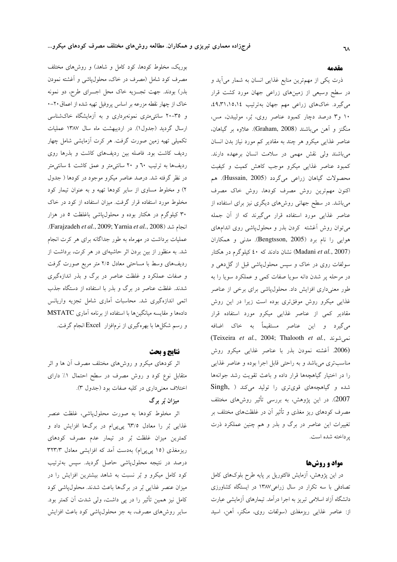بوریک، مخلوط کودها، کود کامل و شاهد) و روشهای مختلف مصرف کود شامل (مصرف در خاک، محلول،پاشی و آغشته نمودن بذر) بودند. جهت تجـزيه خاک محل اجــرای طرح، دو نمونه خاک از چهار نقطه مزرعه بر اساس پروفیل تهیه شده از اعماق ۲۰–۰ و ۳۵–۲۰ سانتی،متری نمونهبرداری و به آزمایشگاه خاکشناسی ارسال گردید (جدول١). در اردیبهشت ماه سال ١٣٨٧ عملیات تکمیلی تهیه زمین صورت گرفت. هر کرت آزمایشی شامل چهار ردیف کاشت بود. فاصله بین ردیفهای کاشت و بذرها روی ردیفها به ترتیب ۲۰ و ۲۰ سانتی متر و عمق کاشت ٤ سانتی متر در نظر گرفته شد. درصد عناصر میکرو موجود در کودها ( جدول ۲) و مخلوط مساوی از سایر کودها تهیه و به عنوان تیمار کود مخلوط مورد استفاده قرار گرفت. میزان استفاده از کود در خاک ۳۰ کیلوگرم در هکتار بوده و محلولپاشی باغلظت ۵ در هزار انجام شد (Farajzadeh et al., 2009; Yarnia et al., 2008). عملیات برداشت در مهرماه به طور جداگانه برای هر کرت انجام شد. به منظور از بین بردن اثر حاشیهای در هر کرت، برداشت از ردیفهای وسط با مساحتی معادل ۲/۵ متر مربع صورت گرفت و صفات عملکرد و غلظت عناصر در برگ و بذر اندازهگیری شدند. غلظت عناصر در برگ و بذر با استفاده از دستگاه جذب اتمی اندازهگیری شد. محاسبات آماری شامل تجزیه واریانس دادهها و مقایسه میانگینها با استفاده از برنامه آماری MSTATC و رسم شکلها با بهرهگیری از نرمافزار Excel انجام گرفت.

#### نتايج و بحث

اثر کودهای میکرو و روشهای مختلف مصرف آن ها و اثر متقابل نوع کود و روش مصرف در سطح احتمال ۱٪ دارای اختلاف معنى دارى در كليه صفات بود (جدول ٣).

## میزان بُر برگ

اثر مخلوط کودها به صورت محلولپاشی، غلظت عنصر غذایی بُر را معادل ۳۳/۵ پیپیام در برگها افزایش داد و کمترین میزان غلظت بُر در تیمار عدم مصرف کودهای ریزمغذی (۱۵ یی یی|م) بهدست آمد که افزایشی معادل ۳۲۳/۳ درصد در نتیجه محلولپاشی حاصل گردید. سپس بهترتیب کود کامل میکرو و بُر نسبت به شاهد بیشترین افزایش را در میزان عنصر غذایی بُر در برگها باعث شدند. محلول،پاشی کود کامل نیز همین تأثیر را در پی داشت، ولی شدت آن کمتر بود. سایر روشهای مصرف، به جز محلول،یاشی کود باعث افزایش

#### مقدمه

ذرت یکی از مهمترین منابع غذایی انسان به شمار میآید و در سطح وسیعی از زمینهای زراعی جهان مورد کشت قرار میگیرد. خاکهای زراعی مهم جهان بهترتیب ۱۵،۱۶،۱۵،۴٪، ۱۰ و۳ درصد دچار کمبود عناصر روی، بُر، مولیبدن، مس، منگنز و آهن مي باشند (Graham, 2008). علاوه بر گياهان، عناصر غذایی میکرو هر چند به مقادیر کم مورد نیاز بدن انسان می باشند ولی نقش مهمی در سلامت انسان برعهده دارند. کمبود عناصر غذایی میکرو موجب کاهش کمیت و کیفیت محصولات گیاهان زراعی میگردد (Hussain, 2005). هم اکنون مهمترین روش مصرف کودها، روش خاک مصرف میباشد. در سطح جهانی روشهای دیگری نیز برای استفاده از عناصر غذایی مورد استفاده قرار میگیرند که از آن جمله می توان روش آغشته کردن بذر و محلول پاشی روی اندامهای هوايي را نام برد (Bengtsson, 2005). مدني و همكاران نشان دادند که ٤٠ نيلوگرم در هکتار (Madani et al., 2007) سولفات روی در خاک و سپس محلول،پاشی قبل از گل(هی و در مرحله پر شدن دانه سویا صفات کمی و عملکرد سویا را به طور معنیداری افزایش داد. محلولپاشی برای برخی از عناصر غذایی میکرو روش موفقتری بوده است زیرا در این روش مقادیر کمی از عناصر غذایی میکرو مورد استفاده قرار می گیرد و این عناصر مستقیماً به خاک اضافه (Teixeira et al., 2004; Thalooth et al., نمى شوند (2006. آغشته نمودن بذر با عناصر غذایی میکرو روش مناسب تری می باشد و به راحتی قابل اجرا بوده و عناصر غذایی را در اختیار گیاهچهها قرار داده و باعث تقویت رشد جوانهها شده و گیاهچههای قویتری را تولید میکند ( Singh, 2007). در این پژوهش، به بررسی تأثیر روشهای مختلف مصرف کودهای ریز مغذی و تأثیر آن در غلظتهای مختلف بر تغییرات این عناصر در برگ و بذر و هم چنین عملکرد ذرت ير داخته شده است.

## مواد و روشها

در این پژوهش، آزمایش فاکتوریل بر پایه طرح بلوکهای کامل تصادفی با سه تکرار در سال زراعی١٣٨٧ در ایستگاه کشاورزی دانشگاه آزاد اسلامی تبریز به اجرا درآمد. تیمارهای آزمایشی عبارت از: عناصر غذایی ریزمغذی (سولفات روی، منگنر، آهن، اسید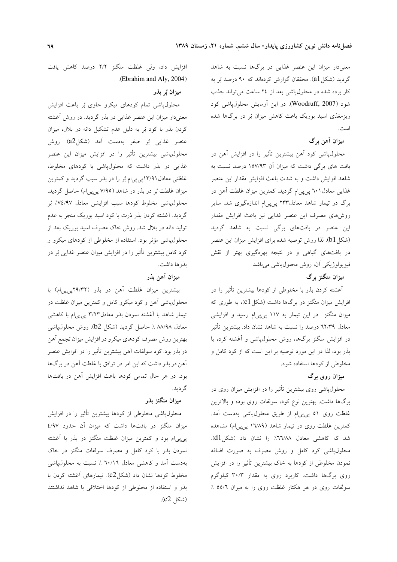معنیدار میزان این عنصر غذایی در برگها نسبت به شاهد گردید (شکل a1). محققان گزارش کردهاند که ۹۰ درصد بُر به کار برده شده در محلول یاشی بعد از ٢٤ ساعت می تواند جذب شود (Woodruff, 2007). در این آزمایش محلول،یاشی کود ریزمغذی اسید بوریک باعث کاهش میزان بُر در برگها شده است.

## میزان آهن برگ

محلولپاشی کود آهن بیشترین تأثیر را در افزایش آهن در بافت های برگی داشت که میزان آن ۱۵۷/۹۳ درصد نسبت به شاهد افزایش داشت و به شدت باعث افزایش مقدار این عنصر غذایی معادل ( ٦٠ پی پیام گردید. کمترین میزان غلطت آهن در برگ در تیمار شاهد معادل۲۳۳ پیپیام اندازهگیری شد. سایر روشهای مصرف این عنصر غذایی نیز باعث افزایش مقدار این عنصر در بافتهای برگی نسبت به شاهد گردید (شکل b1). لذا روش توصیه شده برای افزایش میزان این عنصر در بافتهای گیاهی و در نتیجه بهرهگیری بهتر از نقش فيزيولوژيكي أن، روش محلول پاشي مي باشد.

# میزان منگنز برگ

آغشته کردن بذر با مخلوطی از کودها بیشترین تأثیر را در افزایش میزان منگنز در برگها داشت (شکل c1)، به طوری که میزان منگنز در این تیمار به ۱۱۷ پی پی|م رسید و افزایشی معادل ٦٢/٣٩ درصد را نسبت به شاهد نشان داد. بیشترین تأثیر در افزایش منگنز برگها، روش محلولپاشی و آغشته کرده با بذر بود، لذا در این مورد توصیه بر این است که از کود کامل و مخلوطی از کودها استفاده شود.

# میزان روی برگ

محلولپاشی روی بیشترین تأثیر را در افزایش میزان روی در برگها داشت. بهترین نوع کود، سولفات روی بوده و بالاترین غلظت روی ٥١ پی پی ام از طریق محلول،پاشی بهدست آمد. کمترین غلظت روی در تیمار شاهد (۱٦/٨٩ پی پی|م) مشاهده شد که کاهشی معادل ۳٦٦/٨٨٪ را نشان داد (شکل d1). محلولپاشی کود کامل و روش مصرف به صورت اضافه نمودن مخلوطی از کودها به خاک بیشترین تأثیر را در افزایش روی برگها داشت. کاربرد روی به مقدار ۳۰/۳ کیلوگرم سولفات روی در هر هکتار غلظت روی را به میزان ٥٥/٦ ٪

افزایش داد، ولی غلظت منگنز ۲/۲ درصد کاهش یافت .(Ebrahim and Aly, 2004)

### ميزان بُر بذر

محلولپاشی تمام کودهای میکرو حاوی بُر باعث افزایش معنیدار میزان این عنصر غذایی در بذر گردید. در روش آغشته کردن بذر با کود بُر به دلیل عدم تشکیل دانه در بلال، میزان عنصر غذایی بُر صفر بهدست آمد (شکل2a). روش محلول،پاشی بیشترین تأثیر را در افزایش میزان این عنصر غذایی در بذر داشت که محلول،یاشی با کودهای مخلوط، غلظتی معادل ۱۳/۹۱یبی یی ام بُر را در بذر سبب گردید و کمترین میزان غلطت بُر در بذر در شاهد (۷/۹۵ پی پی|م) حاصل گردید. محلول،پاشی مخلوط کودها سبب افزایشی معادل ۰٫۷٤/۹۷٪ بُر گردید. اَغشته کردن بذر ذرت با کود اسید بوریک منجر به عدم تولید دانه در بلال شد. روش خاک مصرف اسید بوریک بعد از محلولپاشی مؤثر بود. استفاده از مخلوطی از کودهای میکرو و کود کامل بیشترین تأثیر را در افزایش میزان عنصر غذایی بُر در بذرها داشت.

# ميزان آهن بذر

بیشترین میزان غلظت آهن در بذر (۲۹/۳۲پی پی ام) با محلول پاشی آهن و کود میکرو کامل و کمترین میزان غلظت در تیمار شاهد با آغشته نمودن بذر معادل۳/۲۳ پی پیام با کاهشی معادل ۸۸/۹۸ ٪ حاصل گردید (شکل b2). روش محلول،یاشی بهترين روش مصرف كودهاي ميكرو در افزايش ميزان تجمع أهن در بذر بود. کود سولفات آهن بیشترین تأثیر را در افزایش عنصر آهن در بذر داشت که این امر در توافق با غلظت آهن در برگها بود. در هر حال تمامی کودها باعث افزایش آهن در بافتها گر ديد.

## میزان منگنز بذر

محلولپاشی مخلوطی از کودها بیشترین تأثیر را در افزایش میزان منگنز در بافتها داشت که میزان آن حدود ٤/٩٧ یی پی|م بود و کمترین میزان غلظت منگنز در بذر با آغشته نمودن بذر با کود کامل و مصرف سولفات منگنز در خاک بهدست آمد و كاهشى معادل ٦٠/١٦ ٪ نسبت به محلول پاشى مخلوط کودها نشان داد (شکلC2). تیمارهای آغشته کردن با بذر و استفاده از مخلوطی از کودها اختلافی با شاهد نداشتند (شكل c2).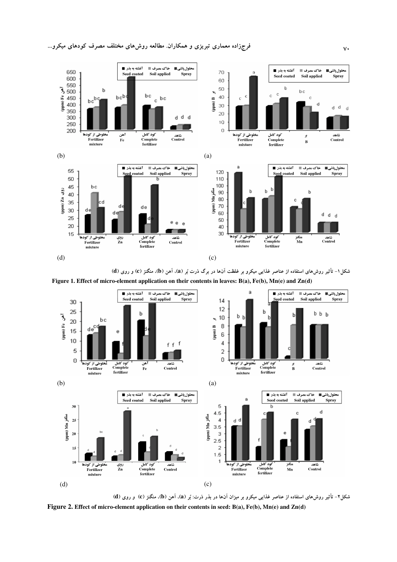

شکل ۱– تأثیر روش۵ای استفاده از عناصر غذایی میکرو بر غلظت آنها در برگ ذرت بُر (a)، آهن (b)، منگنز (c) و روی (d)



شکل۲- تأثیر روش۵ای استفاده از عناصر غذایی میکرو بر میزان آنها در بذر ذرت: بُر (a)، آهن (b)، منگنز (c) و روی (d Figure 2. Effect of micro-element application on their contents in seed: B(a), Fe(b), Mn(e) and Zn(d)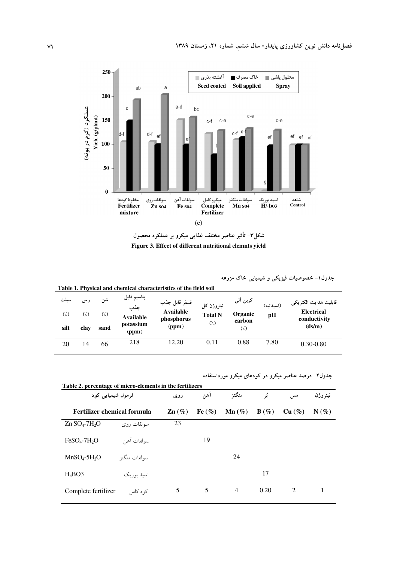

شکل۳– تأثیر عناصر مختلف غذایی میکرو بر عملکرد محصول Figure 3. Effect of different nutritional elemnts yield

جدول ۱– خصوصیات فیزیکی و شیمیایی خاک مزرعه

 Table 1. Physical and chemical characteristics of the field soil سيلت  $(7)$ silt رس  $\left(\frac{1}{2}\right)$ clay شن  $(7)$ sand پتاسيم قابل جذب Available potassium  $(ppm)$ فسفر قابل جذب Available phosphorus  $(ppm)$ نيتروژن کل Total N  $\left(\dot{a}\right)$ كربن آلي **Organic** carbon  $(\lambda)$ (اسيدتيه) pH قابليت هدايت الكتريكي Electrical conductivity  $(ds/m)$ 20 14 66 218 12.20 0.11 0.88 7.80 0.30-0.80

جدول۲- درصد عناصر میکرو در کودهای میکرو مورداستفاده

| فرمول شیمیایی کود                       |              | روى               | آهن       | منگنز             | ئو      | مسر    | نيتروژن |
|-----------------------------------------|--------------|-------------------|-----------|-------------------|---------|--------|---------|
| Fertilizer chemical formula             |              | $\mathbf{Zn}(\%)$ | Fe $(\%)$ | $\mathbf{Mn}(\%)$ | $B(\%)$ | Cu (%) | $N(\%)$ |
| $Zn$ SO <sub>4</sub> -7H <sub>2</sub> O | سولفات روى   | 23                |           |                   |         |        |         |
| $FeSO4-7H2O$                            | سولفات آهن   |                   | 19        |                   |         |        |         |
| $MnSO4-5H2O$                            | سولفات منگنز |                   |           | 24                |         |        |         |
| $H_3BO3$                                | اسید بوریک   |                   |           |                   | 17      |        |         |
| Complete fertilizer                     | کو د کامل    | 5                 | 5         | $\overline{4}$    | 0.20    | 2      |         |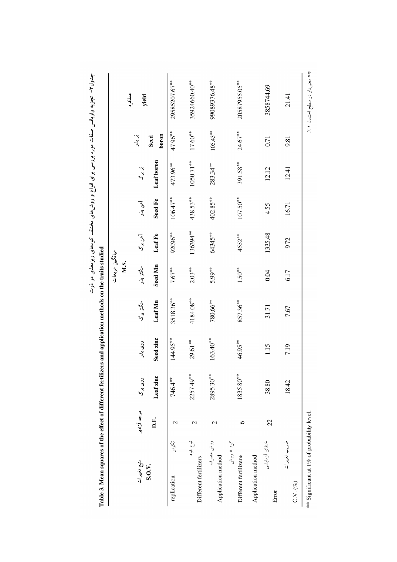|                                             |               |           |             |           | میانگین مربعات |          |             |             |               |                |
|---------------------------------------------|---------------|-----------|-------------|-----------|----------------|----------|-------------|-------------|---------------|----------------|
|                                             |               |           |             |           | M.S.           |          |             |             |               | عملكرد         |
| منبع تغييرات                                | درجه آزادى    | روی برگ   | روی بذر     | منگنز برگ | منگتز بذر      | آهن برگا | آهن بذر     | نېد<br>کې   | ېنې په.<br>م  | yield          |
| S.O.V.                                      | D.F.          | Leaf zinc | Seed zinc   | Leaf Mn   | Seed Mn        | Leaf Fe  | Seed Fe     | Leaf boron  | boron<br>Seed |                |
| ぶっ<br>replication                           | 2             | 746.4**   | 144.95**    | 3518.36** | $7.67***$      | 92096**  | 106.47**    | 473.96**    | 47.96**       | 29585207.67**  |
| نوع کود<br>Different fertilizers            | $\mathcal{L}$ | 2257.49** | 29.61**     | 4184.08** | $2.03***$      | 136394** | 438.53**    | 1050.71**   | $17.60**$     | 35924660.40*** |
| روش مصرف<br>Application method              | 2             | 2895.30** | $163.40***$ | ~\$0.66   | 5.99**         | 64345**  | $402.85***$ | $283.34***$ | $105.43***$   | 99089376.48**  |
| کود ٭ روش<br>Different fertilizer*          | $\circ$       | 1835.80** | 46.95**     | 857.36*** | $1.50***$      | 4552**   | $107.50***$ | 391.58**    | $24.67***$    | 20587955.05**  |
| خطاى أزمايشى<br>Application method<br>Error | 22            | 38.80     | 1.15        | 31.71     | 0.04           | 1335.48  | 4.55        | 12.12       | 0.71          | 3858744.69     |
| ضريب تغييرات<br>$C.V. (\%)$                 |               | 18.42     | 7.19        | 7.67      | 6.17           | 9.72     | 16.71       | 12.41       | 9.81          | 21.41          |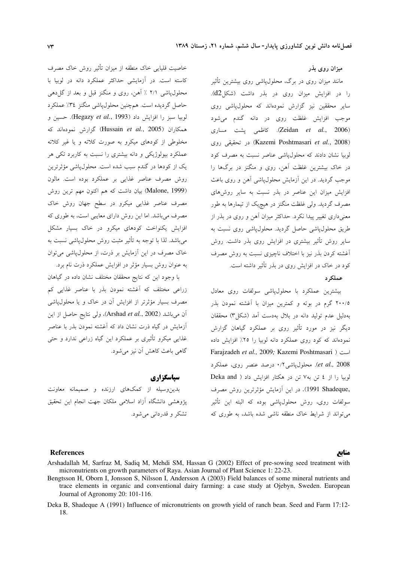خاصیت قلیایی خاک منطقه از میزان تأثیر روش خاک مصرف کاسته است. در آزمایشی حداکثر عملکرد دانه در لوبیا با محلول یاشی ۲/۱ ٪ آهن، روی و منگنز قبل و بعد از گل دهی حاصل گردیده است. همچنین محلول،پاشی منگنز ۳٤٪ عملکرد لوبيا سبز را افزايش داد (Hegazy et al., 1993). حسين و همکاران (Hussain et al., 2005) گزارش نمودهاند که مخلوطی از کودهای میکرو به صورت کلاته و یا غیر کلاته عملکرد بیولوژیکی و دانه بیشتری را نسبت به کاربرد تکی هر یک از کودها در گندم سبب شده است. محلولپاشی مؤثرترین روش مصرف عناصر غذایی بر عملکرد بوده است. مالون (Malone, 1999) بیان داشت که هم اکنون مهم ترین روش مصرف عناصر غذایی میکرو در سطح جهان روش خاک مصرف میباشد. اما این روش دارای معایبی است، به طوری که افزایش یکنواخت کودهای میکرو در خاک بسیار مشکل می باشد. لذا با توجه به تأثیر مثبت روش محلول،پاشی نسبت به .<br>خاک مصرف در این آزمایش بر ذرت، از محلول،پاشی می توان به عنوان روش بسیار مؤثر در افزایش عملکرد ذرت نام برد.

با وجود این که نتایج محققان مختلف نشان داده در گیاهان زراعی مختلف که آغشته نمودن بذر با عناصر غذایی کم مصرف بسیار مؤثرتر از افزایش آن در خاک و یا محلول،پاشی آن می باشد (Arshad et al., 2002)، ولی نتایج حاصل از این آزمایش در گیاه ذرت نشان داد که آغشته نمودن بذر با عناصر غذایی میکرو تأثیری بر عملکرد این گیاه زراعی ندارد و حتی گاهی باعث کاهش آن نیز می شود.

سياسگزاري

بدین وسیله از کمکهای ارزنده و صمیمانه معاونت پژوهشی دانشگاه آزاد اسلامی ملکان جهت انجام این تحقیق تشکر و قدردانے مے شود.

#### میزان روی بذر

مانند میزان روی در برگ، محلول،پاشی روی بیشترین تأثیر را در افزایش میزان روی در بذر داشت (شکل(d2). سایر محققین نیز گزارش نمودهاند که محلول،یاشی روی موجب افزایش غلظت روی در دانه گندم میشود (Zeidan et al., 2006). كاظمى يشت مسارى (Kazemi Poshtmasari et al., 2008) در تحقیقی روی لوبیا نشان دادند که محلول یاشی عناصر نسبت به مصرف کود در خاک بیشترین غلظت آهن، روی و منگنز در برگها را موجب گردید. در این آزمایش محلول،یاشی آهن و روی باعث افزایش میزان این عناصر در بذر نسبت به سایر روشهای مصرف گردید. ولی غلظت منگنز در هیچیک از تیمارها به طور معنی داری تغییر پیدا نکرد. حداکثر میزان آهن و روی در بذر از طریق محلول،پاشی حاصل گردید. محلول،پاشی روی نسبت به سایر روش تأثیر بیشتری در افزایش روی بذر داشت. روش أغشته كردن بذر نيز با اختلاف ناچيزي نسبت به روش مصرف کود در خاک در افزایش روی در بذر تأثیر داشته است.

### عملکہ د

بیشترین عملکرد با محلولپاشی سولفات روی معادل ۲۰۰/۵ گرم در بوته و کمترین میزان با آغشته نمودن بذر بهدلیل عدم تولید دانه در بلال بهدست آمد (شکل۳) محققان دیگر نیز در مورد تأثیر روی بر عملکرد گیاهان گزارش نمودهاند که کود روی عملکرد دانه لوبیا را ۲۵٪ افزایش داده Farajzadeh et al., 2009; Kazemi Poshtmasari ) است et al., 2008). محلول یاشی ۰/۲ درصد عنصر روی، عملکرد لوبیا را از ٤ تن به٧ تن در هكتار افزايش داد ( Deka and ,1991 Shadeque). در این آزمایش مؤثرترین روش مصرف سولفات روی، روش محلول،یاشی بوده که البته این تأثیر می تواند از شرایط خاک منطقه ناشی شده باشد، به طوری که

#### **References**

#### منابع

- Arshadallah M, Sarfraz M, Sadiq M, Mehdi SM, Hassan G (2002) Effect of pre-sowing seed treatment with micronutrients on growth parameters of Raya. Asian Journal of Plant Science 1: 22-23.
- Bengtsson H, Oborn I, Jonsson S, Nilsson I, Andersson A (2003) Field balances of some mineral nutrients and trace elements in organic and conventional dairy farming: a case study at Ojebyn, Sweden. European Journal of Agronomy 20: 101-116.
- Deka B, Shadeque A (1991) Influence of micronutrients on growth yield of ranch bean. Seed and Farm 17:12-18